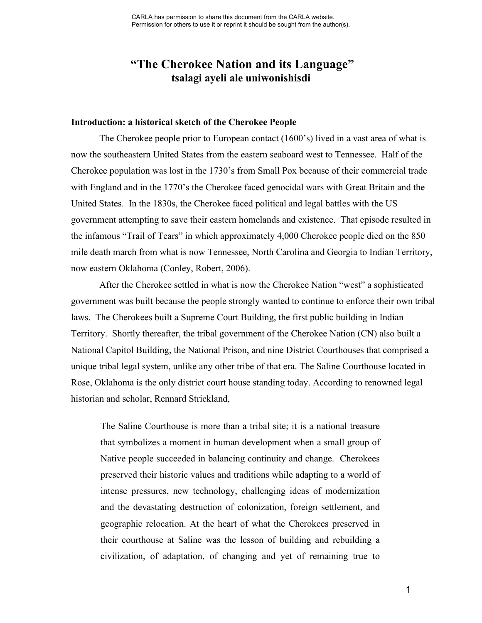# **"The Cherokee Nation and its Language" tsalagi ayeli ale uniwonishisdi**

#### **Introduction: a historical sketch of the Cherokee People**

The Cherokee people prior to European contact (1600's) lived in a vast area of what is now the southeastern United States from the eastern seaboard west to Tennessee. Half of the Cherokee population was lost in the 1730's from Small Pox because of their commercial trade with England and in the 1770's the Cherokee faced genocidal wars with Great Britain and the United States. In the 1830s, the Cherokee faced political and legal battles with the US government attempting to save their eastern homelands and existence. That episode resulted in the infamous "Trail of Tears" in which approximately 4,000 Cherokee people died on the 850 mile death march from what is now Tennessee, North Carolina and Georgia to Indian Territory, now eastern Oklahoma (Conley, Robert, 2006).

After the Cherokee settled in what is now the Cherokee Nation "west" a sophisticated government was built because the people strongly wanted to continue to enforce their own tribal laws. The Cherokees built a Supreme Court Building, the first public building in Indian Territory. Shortly thereafter, the tribal government of the Cherokee Nation (CN) also built a National Capitol Building, the National Prison, and nine District Courthouses that comprised a unique tribal legal system, unlike any other tribe of that era. The Saline Courthouse located in Rose, Oklahoma is the only district court house standing today. According to renowned legal historian and scholar, Rennard Strickland,

The Saline Courthouse is more than a tribal site; it is a national treasure that symbolizes a moment in human development when a small group of Native people succeeded in balancing continuity and change. Cherokees preserved their historic values and traditions while adapting to a world of intense pressures, new technology, challenging ideas of modernization and the devastating destruction of colonization, foreign settlement, and geographic relocation. At the heart of what the Cherokees preserved in their courthouse at Saline was the lesson of building and rebuilding a civilization, of adaptation, of changing and yet of remaining true to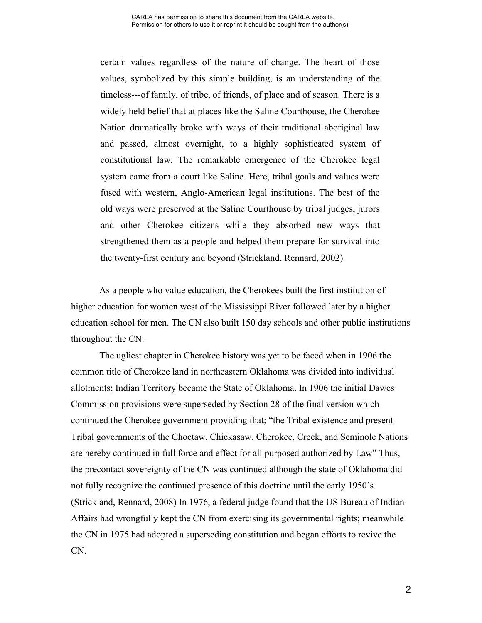certain values regardless of the nature of change. The heart of those values, symbolized by this simple building, is an understanding of the timeless---of family, of tribe, of friends, of place and of season. There is a widely held belief that at places like the Saline Courthouse, the Cherokee Nation dramatically broke with ways of their traditional aboriginal law and passed, almost overnight, to a highly sophisticated system of constitutional law. The remarkable emergence of the Cherokee legal system came from a court like Saline. Here, tribal goals and values were fused with western, Anglo-American legal institutions. The best of the old ways were preserved at the Saline Courthouse by tribal judges, jurors and other Cherokee citizens while they absorbed new ways that strengthened them as a people and helped them prepare for survival into the twenty-first century and beyond (Strickland, Rennard, 2002)

As a people who value education, the Cherokees built the first institution of higher education for women west of the Mississippi River followed later by a higher education school for men. The CN also built 150 day schools and other public institutions throughout the CN.

The ugliest chapter in Cherokee history was yet to be faced when in 1906 the common title of Cherokee land in northeastern Oklahoma was divided into individual allotments; Indian Territory became the State of Oklahoma. In 1906 the initial Dawes Commission provisions were superseded by Section 28 of the final version which continued the Cherokee government providing that; "the Tribal existence and present Tribal governments of the Choctaw, Chickasaw, Cherokee, Creek, and Seminole Nations are hereby continued in full force and effect for all purposed authorized by Law" Thus, the precontact sovereignty of the CN was continued although the state of Oklahoma did not fully recognize the continued presence of this doctrine until the early 1950's. (Strickland, Rennard, 2008) In 1976, a federal judge found that the US Bureau of Indian Affairs had wrongfully kept the CN from exercising its governmental rights; meanwhile the CN in 1975 had adopted a superseding constitution and began efforts to revive the CN.

2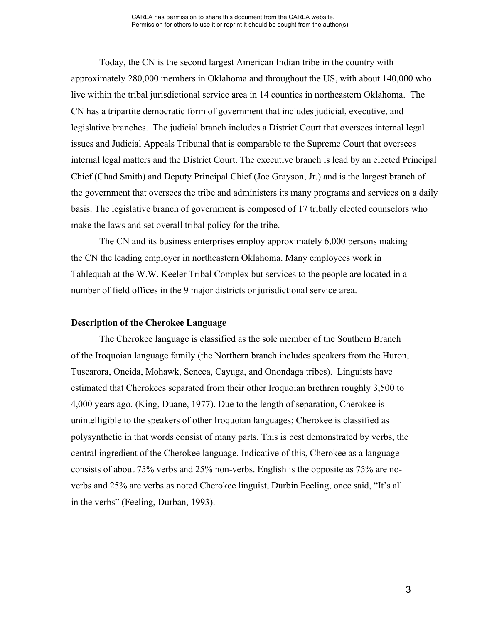Today, the CN is the second largest American Indian tribe in the country with approximately 280,000 members in Oklahoma and throughout the US, with about 140,000 who live within the tribal jurisdictional service area in 14 counties in northeastern Oklahoma. The CN has a tripartite democratic form of government that includes judicial, executive, and legislative branches. The judicial branch includes a District Court that oversees internal legal issues and Judicial Appeals Tribunal that is comparable to the Supreme Court that oversees internal legal matters and the District Court. The executive branch is lead by an elected Principal Chief (Chad Smith) and Deputy Principal Chief (Joe Grayson, Jr.) and is the largest branch of the government that oversees the tribe and administers its many programs and services on a daily basis. The legislative branch of government is composed of 17 tribally elected counselors who make the laws and set overall tribal policy for the tribe.

The CN and its business enterprises employ approximately 6,000 persons making the CN the leading employer in northeastern Oklahoma. Many employees work in Tahlequah at the W.W. Keeler Tribal Complex but services to the people are located in a number of field offices in the 9 major districts or jurisdictional service area.

#### **Description of the Cherokee Language**

The Cherokee language is classified as the sole member of the Southern Branch of the Iroquoian language family (the Northern branch includes speakers from the Huron, Tuscarora, Oneida, Mohawk, Seneca, Cayuga, and Onondaga tribes). Linguists have estimated that Cherokees separated from their other Iroquoian brethren roughly 3,500 to 4,000 years ago. (King, Duane, 1977). Due to the length of separation, Cherokee is unintelligible to the speakers of other Iroquoian languages; Cherokee is classified as polysynthetic in that words consist of many parts. This is best demonstrated by verbs, the central ingredient of the Cherokee language. Indicative of this, Cherokee as a language consists of about 75% verbs and 25% non-verbs. English is the opposite as 75% are noverbs and 25% are verbs as noted Cherokee linguist, Durbin Feeling, once said, "It's all in the verbs" (Feeling, Durban, 1993).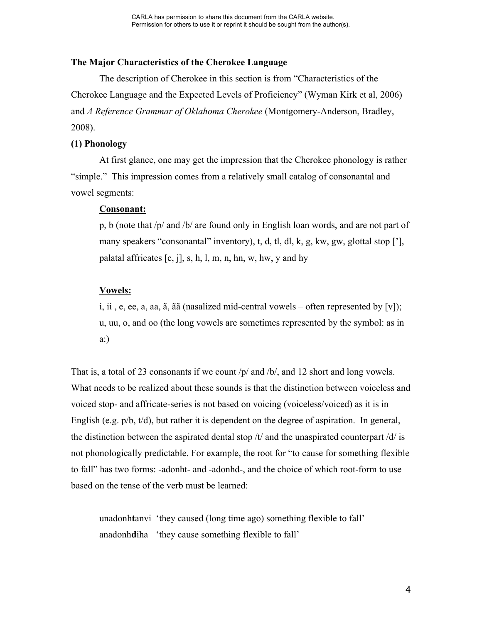# **The Major Characteristics of the Cherokee Language**

The description of Cherokee in this section is from "Characteristics of the Cherokee Language and the Expected Levels of Proficiency" (Wyman Kirk et al, 2006) and *A Reference Grammar of Oklahoma Cherokee* (Montgomery-Anderson, Bradley, 2008).

#### **(1) Phonology**

At first glance, one may get the impression that the Cherokee phonology is rather "simple." This impression comes from a relatively small catalog of consonantal and vowel segments:

#### **Consonant:**

p, b (note that /p/ and /b/ are found only in English loan words, and are not part of many speakers "consonantal" inventory), t, d, tl, dl, k, g, kw, gw, glottal stop ['], palatal affricates  $[c, j]$ , s, h, l, m, n, hn, w, hw, y and hy

# **Vowels:**

i, ii, e, ee, a, aa,  $\tilde{a}$ ,  $\tilde{a}$  a (nasalized mid-central vowels – often represented by [v]); u, uu, o, and oo (the long vowels are sometimes represented by the symbol: as in a:)

That is, a total of 23 consonants if we count /p/ and /b/, and 12 short and long vowels. What needs to be realized about these sounds is that the distinction between voiceless and voiced stop- and affricate-series is not based on voicing (voiceless/voiced) as it is in English (e.g. p/b, t/d), but rather it is dependent on the degree of aspiration. In general, the distinction between the aspirated dental stop  $/t$  and the unaspirated counterpart  $/d/$  is not phonologically predictable. For example, the root for "to cause for something flexible to fall" has two forms: -adonht- and -adonhd-, and the choice of which root-form to use based on the tense of the verb must be learned:

unadonh**t**anvi 'they caused (long time ago) something flexible to fall' anadonh**d**iha 'they cause something flexible to fall'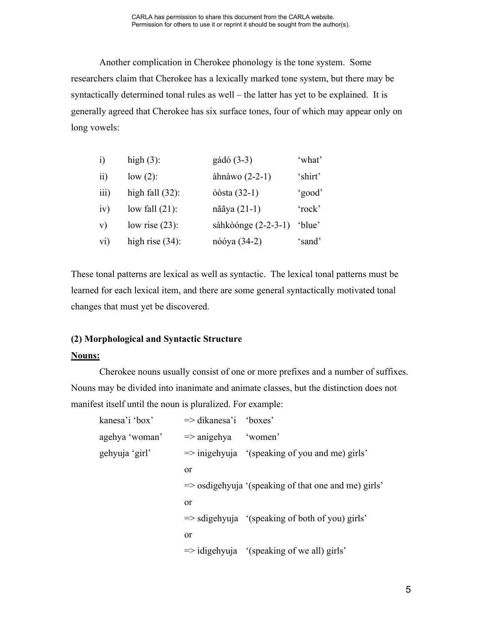Another complication in Cherokee phonology is the tone system. Some researchers claim that Cherokee has a lexically marked tone system, but there may be syntactically determined tonal rules as well – the latter has yet to be explained. It is generally agreed that Cherokee has six surface tones, four of which may appear only on long vowels:

| $\ddot{1}$       | high $(3)$ :       | gádó (3-3)            | 'what'  |
|------------------|--------------------|-----------------------|---------|
| $\overline{ii}$  | $low(2)$ :         | àhnàwo $(2-2-1)$      | 'shirt' |
| $\overline{iii}$ | high fall $(32)$ : | ó $\delta$ sta (32-1) | 'good'  |
| iv)              | low fall $(21)$ :  | nããya (21-1)          | 'rock'  |
| V)               | low rise $(23)$ :  | sàhkòónge $(2-2-3-1)$ | 'blue'  |
| $\overline{vi}$  | high rise $(34)$ : | nóóya (34-2)          | 'sand'  |

These tonal patterns are lexical as well as syntactic. The lexical tonal patterns must be learned for each lexical item, and there are some general syntactically motivated tonal changes that must yet be discovered.

# **(2) Morphological and Syntactic Structure**

# **Nouns:**

Cherokee nouns usually consist of one or more prefixes and a number of suffixes. Nouns may be divided into inanimate and animate classes, but the distinction does not manifest itself until the noun is pluralized. For example:

| kanesa'i 'box' | $\Rightarrow$ dikanesa'i 'boxes' |                                                                 |  |
|----------------|----------------------------------|-----------------------------------------------------------------|--|
| agehya 'woman' | $\Rightarrow$ anigehya           | 'women'                                                         |  |
| gehyuja 'girl' |                                  | $\Rightarrow$ inigehyuja '(speaking of you and me) girls'       |  |
|                | <sub>or</sub>                    |                                                                 |  |
|                |                                  | $\Rightarrow$ osdigehyuja '(speaking of that one and me) girls' |  |
|                | <sub>or</sub>                    |                                                                 |  |
|                |                                  | $\Rightarrow$ sdigehyuja '(speaking of both of you) girls'      |  |
|                | <sub>or</sub>                    |                                                                 |  |
|                |                                  | $\Rightarrow$ idigehyuja '(speaking of we all) girls'           |  |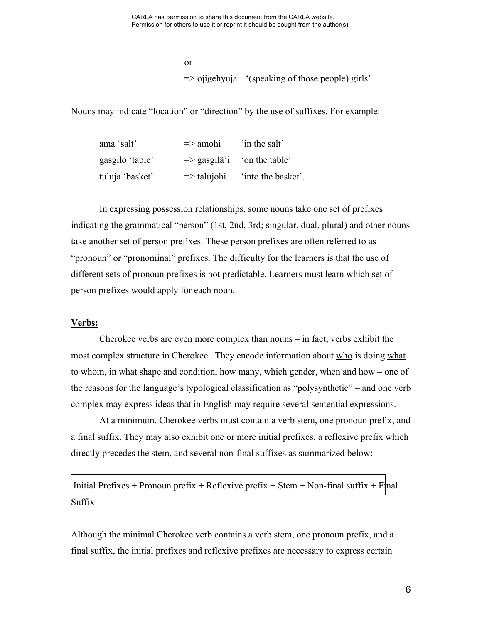CARLA has permission to share this document from the CARLA website. Permission for others to use it or reprint it should be sought from the author(s).

> or  $\Rightarrow$  ojigehyuja '(speaking of those people) girls'

Nouns may indicate "location" or "direction" by the use of suffixes. For example:

| ama 'salt'      | $\Rightarrow$ amohi    | in the salt'                                                 |
|-----------------|------------------------|--------------------------------------------------------------|
| gasgilo 'table' |                        | $\Rightarrow$ gasgila <sup>7</sup> on the table <sup>7</sup> |
| tuluja 'basket' | $\Rightarrow$ talujohi | 'into the basket'.                                           |

In expressing possession relationships, some nouns take one set of prefixes indicating the grammatical "person" (1st, 2nd, 3rd; singular, dual, plural) and other nouns take another set of person prefixes. These person prefixes are often referred to as "pronoun" or "pronominal" prefixes. The difficulty for the learners is that the use of different sets of pronoun prefixes is not predictable. Learners must learn which set of person prefixes would apply for each noun.

#### **Verbs:**

Cherokee verbs are even more complex than nouns – in fact, verbs exhibit the most complex structure in Cherokee. They encode information about who is doing what to whom, in what shape and condition, how many, which gender, when and how – one of the reasons for the language's typological classification as "polysynthetic" – and one verb complex may express ideas that in English may require several sentential expressions.

At a minimum, Cherokee verbs must contain a verb stem, one pronoun prefix, and a final suffix. They may also exhibit one or more initial prefixes, a reflexive prefix which directly precedes the stem, and several non-final suffixes as summarized below:

Initial Prefixes + Pronoun prefix + Reflexive prefix + Stem + Non-final suffix + Final Suffix

Although the minimal Cherokee verb contains a verb stem, one pronoun prefix, and a final suffix, the initial prefixes and reflexive prefixes are necessary to express certain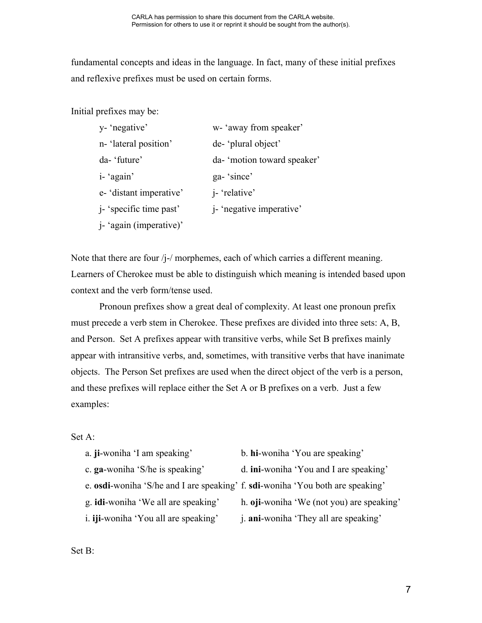fundamental concepts and ideas in the language. In fact, many of these initial prefixes and reflexive prefixes must be used on certain forms.

Initial prefixes may be:

| y- 'negative'                   | w-'away from speaker'            |
|---------------------------------|----------------------------------|
| n-'lateral position'            | de-'plural object'               |
| da-'future'                     | da- 'motion toward speaker'      |
| i- 'again'                      | ga-'since'                       |
| e- 'distant imperative'         | <i>i</i> - 'relative'            |
| <i>j</i> - 'specific time past' | <i>i</i> - 'negative imperative' |
| j- 'again (imperative)'         |                                  |

Note that there are four /j-/ morphemes, each of which carries a different meaning. Learners of Cherokee must be able to distinguish which meaning is intended based upon context and the verb form/tense used.

Pronoun prefixes show a great deal of complexity. At least one pronoun prefix must precede a verb stem in Cherokee. These prefixes are divided into three sets: A, B, and Person. Set A prefixes appear with transitive verbs, while Set B prefixes mainly appear with intransitive verbs, and, sometimes, with transitive verbs that have inanimate objects. The Person Set prefixes are used when the direct object of the verb is a person, and these prefixes will replace either the Set A or B prefixes on a verb. Just a few examples:

## Set A:

- a. **ji**-woniha 'I am speaking' b. **hi**-woniha 'You are speaking'
- 
- c. **ga**-woniha 'S/he is speaking' d. **ini**-woniha 'You and I are speaking'
- e. **osdi**-woniha 'S/he and I are speaking' f. **sdi**-woniha 'You both are speaking'
	-
- 
- g. **idi**-woniha 'We all are speaking' h. **oji**-woniha 'We (not you) are speaking'
- i. **iji**-woniha 'You all are speaking' j. **ani**-woniha 'They all are speaking'

Set B: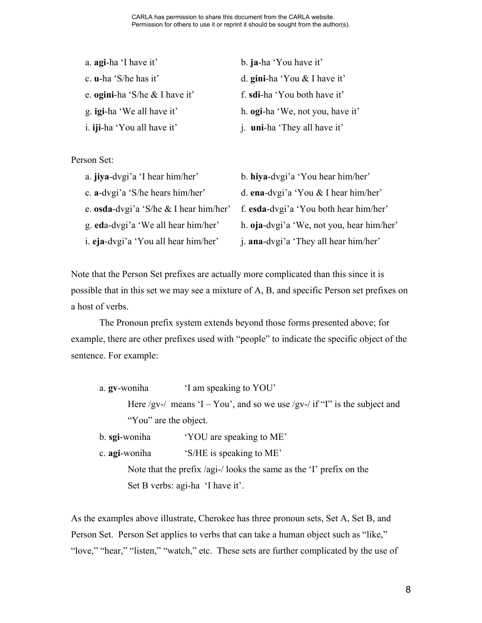| a. agi-ha 'I have it'              | b. ja-ha 'You have it'                   |
|------------------------------------|------------------------------------------|
| c. $\mathbf{u}$ -ha 'S/he has it'  | d. gini-ha 'You $&$ I have it'           |
| e. ogini-ha 'S/he & I have it'     | f. sdi-ha 'You both have it'             |
| g. <b>igi-ha</b> 'We all have it'  | h. <b>ogi-</b> ha 'We, not you, have it' |
| i. <b>iji-ha</b> 'You all have it' | j. uni-ha 'They all have it'             |

Person Set:

| a. jiya-dvgi'a 'I hear him/her'          | b. hiya-dvgi'a 'You hear him/her'         |
|------------------------------------------|-------------------------------------------|
| c. a-dvgi'a 'S/he hears him/her'         | d. ena-dvgi'a 'You & I hear him/her'      |
| e. osda-dvgi'a 'S/he $&$ I hear him/her' | f. esda-dvgi'a 'You both hear him/her'    |
| g. eda-dvgi'a 'We all hear him/her'      | h. oja-dvgi'a 'We, not you, hear him/her' |
| i. eja-dvgi'a 'You all hear him/her'     | j. ana-dvgi'a 'They all hear him/her'     |

Note that the Person Set prefixes are actually more complicated than this since it is possible that in this set we may see a mixture of A, B, and specific Person set prefixes on a host of verbs.

The Pronoun prefix system extends beyond those forms presented above; for example, there are other prefixes used with "people" to indicate the specific object of the sentence. For example:

a. **gv**-woniha 'I am speaking to YOU' Here /gv-/ means 'I – You', and so we use /gv-/ if "I" is the subject and "You" are the object.

b. **sgi**-woniha 'YOU are speaking to ME'

c. **agi**-woniha 'S/HE is speaking to ME'

Note that the prefix /agi-/ looks the same as the 'I' prefix on the Set B verbs: agi-ha 'I have it'.

As the examples above illustrate, Cherokee has three pronoun sets, Set A, Set B, and Person Set. Person Set applies to verbs that can take a human object such as "like," "love," "hear," "listen," "watch," etc. These sets are further complicated by the use of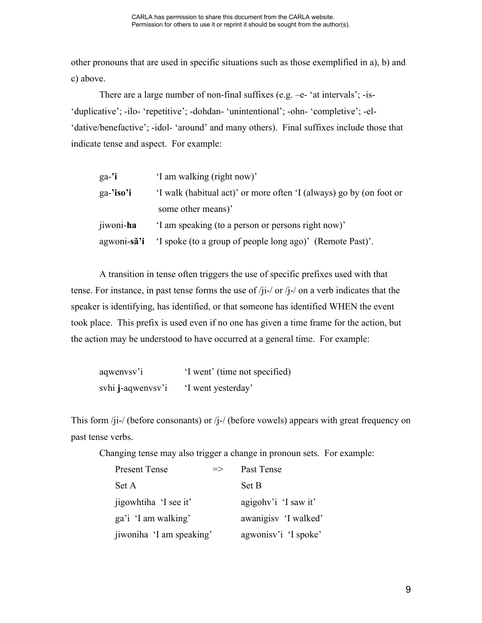other pronouns that are used in specific situations such as those exemplified in a), b) and c) above.

There are a large number of non-final suffixes (e.g. -e- 'at intervals'; -is-'duplicative'; -ilo- 'repetitive'; -dohdan- 'unintentional'; -ohn- 'completive'; -el- 'dative/benefactive'; -idol- 'around' and many others). Final suffixes include those that indicate tense and aspect. For example:

| 'I am walking (right now)'<br>ga-'i                                              |  |
|----------------------------------------------------------------------------------|--|
| 'I walk (habitual act)' or more often 'I (always) go by (on foot or<br>ga-'iso'i |  |
| some other means)'                                                               |  |
| jiwoni-ha<br>'I am speaking (to a person or persons right now)'                  |  |
| agwoni-sã'i 'I spoke (to a group of people long ago)' (Remote Past)'.            |  |

A transition in tense often triggers the use of specific prefixes used with that tense. For instance, in past tense forms the use of /ji-/ or /j-/ on a verb indicates that the speaker is identifying, has identified, or that someone has identified WHEN the event took place. This prefix is used even if no one has given a time frame for the action, but the action may be understood to have occurred at a general time. For example:

| aqwenvsv'i        | 'I went' (time not specified) |
|-------------------|-------------------------------|
| svhi j-aqwenvsv'i | 'I went yesterday'            |

This form /ji-/ (before consonants) or /j-/ (before vowels) appears with great frequency on past tense verbs.

Changing tense may also trigger a change in pronoun sets. For example:

| Present Tense            | $\Rightarrow$ | Past Tense            |
|--------------------------|---------------|-----------------------|
| Set A                    |               | Set B                 |
| jigowhtiha 'I see it'    |               | agigohy'i 'I saw it'  |
| ga'i 'I am walking'      |               | awanigisy 'I walked'  |
| jiwoniha 'I am speaking' |               | agwonisy' i 'I spoke' |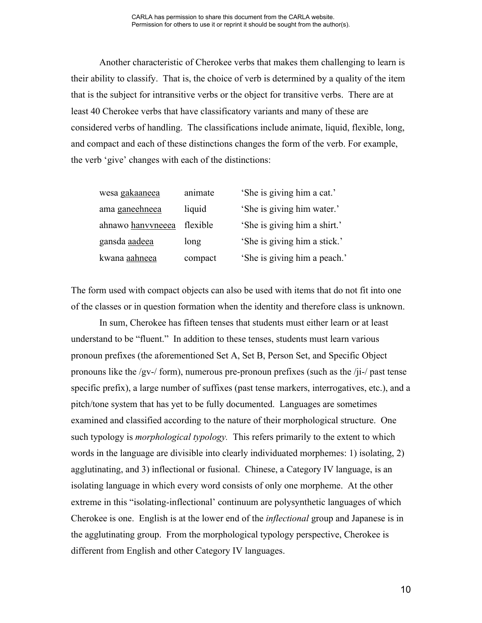Another characteristic of Cherokee verbs that makes them challenging to learn is their ability to classify. That is, the choice of verb is determined by a quality of the item that is the subject for intransitive verbs or the object for transitive verbs. There are at least 40 Cherokee verbs that have classificatory variants and many of these are considered verbs of handling. The classifications include animate, liquid, flexible, long, and compact and each of these distinctions changes the form of the verb. For example, the verb 'give' changes with each of the distinctions:

| wesa gakaaneea    | animate  | 'She is giving him a cat.'   |
|-------------------|----------|------------------------------|
| ama ganeehneea    | liquid   | 'She is giving him water.'   |
| ahnawo hanvyneeea | flexible | 'She is giving him a shirt.' |
| gansda aadeea     | long     | 'She is giving him a stick.' |
| kwana aahneea     | compact  | 'She is giving him a peach.' |

The form used with compact objects can also be used with items that do not fit into one of the classes or in question formation when the identity and therefore class is unknown.

In sum, Cherokee has fifteen tenses that students must either learn or at least understand to be "fluent." In addition to these tenses, students must learn various pronoun prefixes (the aforementioned Set A, Set B, Person Set, and Specific Object pronouns like the /gv-/ form), numerous pre-pronoun prefixes (such as the /ji-/ past tense specific prefix), a large number of suffixes (past tense markers, interrogatives, etc.), and a pitch/tone system that has yet to be fully documented. Languages are sometimes examined and classified according to the nature of their morphological structure. One such typology is *morphological typology.* This refers primarily to the extent to which words in the language are divisible into clearly individuated morphemes: 1) isolating, 2) agglutinating, and 3) inflectional or fusional. Chinese, a Category IV language, is an isolating language in which every word consists of only one morpheme. At the other extreme in this "isolating-inflectional' continuum are polysynthetic languages of which Cherokee is one. English is at the lower end of the *inflectional* group and Japanese is in the agglutinating group. From the morphological typology perspective, Cherokee is different from English and other Category IV languages.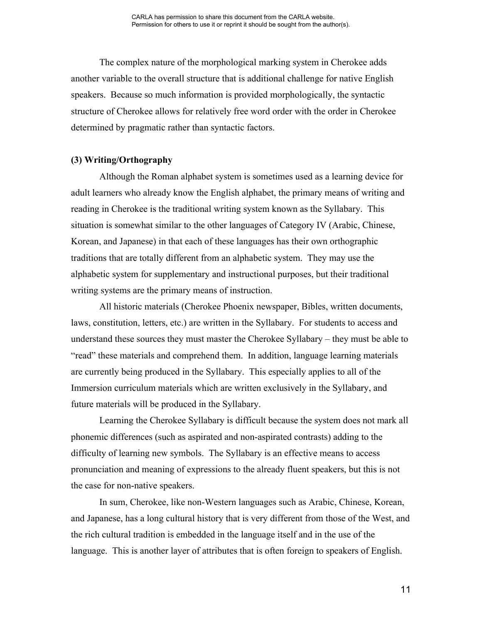The complex nature of the morphological marking system in Cherokee adds another variable to the overall structure that is additional challenge for native English speakers. Because so much information is provided morphologically, the syntactic structure of Cherokee allows for relatively free word order with the order in Cherokee determined by pragmatic rather than syntactic factors.

### **(3) Writing/Orthography**

Although the Roman alphabet system is sometimes used as a learning device for adult learners who already know the English alphabet, the primary means of writing and reading in Cherokee is the traditional writing system known as the Syllabary. This situation is somewhat similar to the other languages of Category IV (Arabic, Chinese, Korean, and Japanese) in that each of these languages has their own orthographic traditions that are totally different from an alphabetic system. They may use the alphabetic system for supplementary and instructional purposes, but their traditional writing systems are the primary means of instruction.

All historic materials (Cherokee Phoenix newspaper, Bibles, written documents, laws, constitution, letters, etc.) are written in the Syllabary. For students to access and understand these sources they must master the Cherokee Syllabary – they must be able to "read" these materials and comprehend them. In addition, language learning materials are currently being produced in the Syllabary. This especially applies to all of the Immersion curriculum materials which are written exclusively in the Syllabary, and future materials will be produced in the Syllabary.

Learning the Cherokee Syllabary is difficult because the system does not mark all phonemic differences (such as aspirated and non-aspirated contrasts) adding to the difficulty of learning new symbols. The Syllabary is an effective means to access pronunciation and meaning of expressions to the already fluent speakers, but this is not the case for non-native speakers.

In sum, Cherokee, like non-Western languages such as Arabic, Chinese, Korean, and Japanese, has a long cultural history that is very different from those of the West, and the rich cultural tradition is embedded in the language itself and in the use of the language. This is another layer of attributes that is often foreign to speakers of English.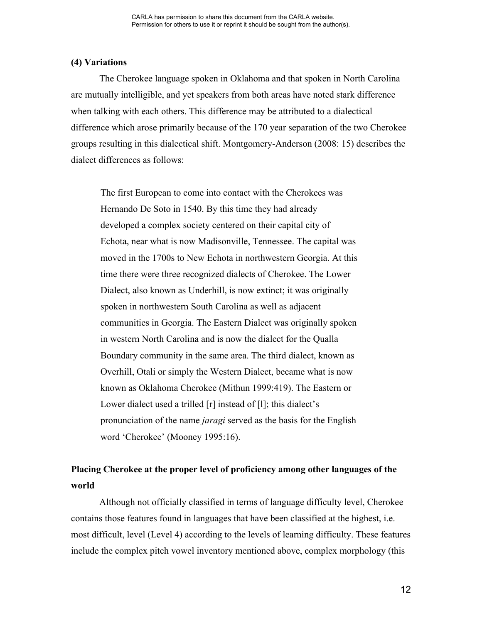### **(4) Variations**

The Cherokee language spoken in Oklahoma and that spoken in North Carolina are mutually intelligible, and yet speakers from both areas have noted stark difference when talking with each others. This difference may be attributed to a dialectical difference which arose primarily because of the 170 year separation of the two Cherokee groups resulting in this dialectical shift. Montgomery-Anderson (2008: 15) describes the dialect differences as follows:

The first European to come into contact with the Cherokees was Hernando De Soto in 1540. By this time they had already developed a complex society centered on their capital city of Echota, near what is now Madisonville, Tennessee. The capital was moved in the 1700s to New Echota in northwestern Georgia. At this time there were three recognized dialects of Cherokee. The Lower Dialect, also known as Underhill, is now extinct; it was originally spoken in northwestern South Carolina as well as adjacent communities in Georgia. The Eastern Dialect was originally spoken in western North Carolina and is now the dialect for the Qualla Boundary community in the same area. The third dialect, known as Overhill, Otali or simply the Western Dialect, became what is now known as Oklahoma Cherokee (Mithun 1999:419). The Eastern or Lower dialect used a trilled [r] instead of [l]; this dialect's pronunciation of the name *jaragi* served as the basis for the English word 'Cherokee' (Mooney 1995:16).

# **Placing Cherokee at the proper level of proficiency among other languages of the world**

Although not officially classified in terms of language difficulty level, Cherokee contains those features found in languages that have been classified at the highest, i.e. most difficult, level (Level 4) according to the levels of learning difficulty. These features include the complex pitch vowel inventory mentioned above, complex morphology (this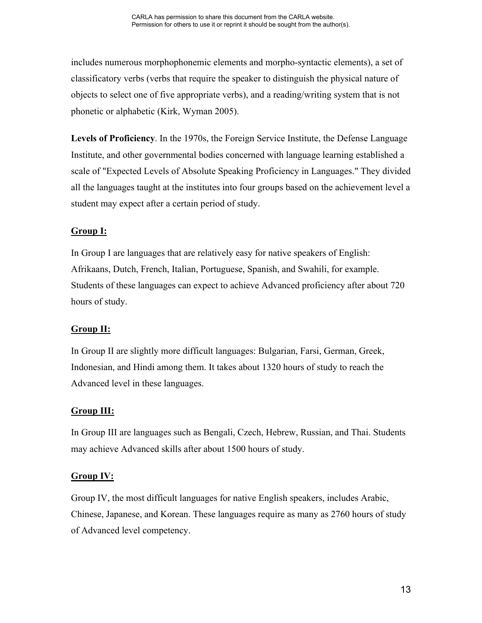includes numerous morphophonemic elements and morpho-syntactic elements), a set of classificatory verbs (verbs that require the speaker to distinguish the physical nature of objects to select one of five appropriate verbs), and a reading/writing system that is not phonetic or alphabetic (Kirk, Wyman 2005).

**Levels of Proficiency**. In the 1970s, the Foreign Service Institute, the Defense Language Institute, and other governmental bodies concerned with language learning established a scale of "Expected Levels of Absolute Speaking Proficiency in Languages." They divided all the languages taught at the institutes into four groups based on the achievement level a student may expect after a certain period of study.

# **Group I:**

In Group I are languages that are relatively easy for native speakers of English: Afrikaans, Dutch, French, Italian, Portuguese, Spanish, and Swahili, for example. Students of these languages can expect to achieve Advanced proficiency after about 720 hours of study.

# **Group II:**

In Group II are slightly more difficult languages: Bulgarian, Farsi, German, Greek, Indonesian, and Hindi among them. It takes about 1320 hours of study to reach the Advanced level in these languages.

# **Group III:**

In Group III are languages such as Bengali, Czech, Hebrew, Russian, and Thai. Students may achieve Advanced skills after about 1500 hours of study.

# **Group IV:**

Group IV, the most difficult languages for native English speakers, includes Arabic, Chinese, Japanese, and Korean. These languages require as many as 2760 hours of study of Advanced level competency.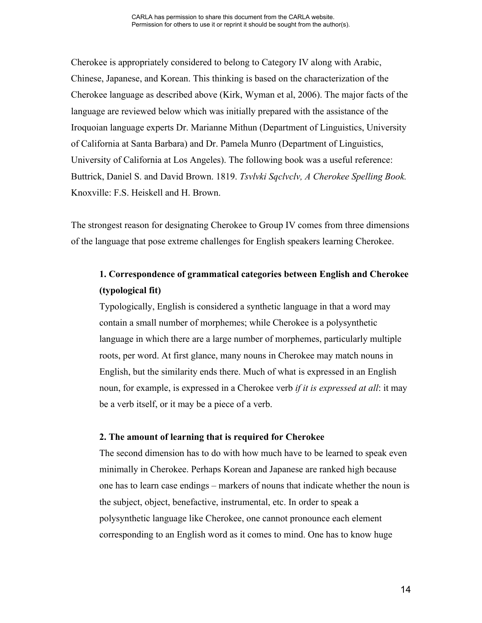Cherokee is appropriately considered to belong to Category IV along with Arabic, Chinese, Japanese, and Korean. This thinking is based on the characterization of the Cherokee language as described above (Kirk, Wyman et al, 2006). The major facts of the language are reviewed below which was initially prepared with the assistance of the Iroquoian language experts Dr. Marianne Mithun (Department of Linguistics, University of California at Santa Barbara) and Dr. Pamela Munro (Department of Linguistics, University of California at Los Angeles). The following book was a useful reference: Buttrick, Daniel S. and David Brown. 1819. *Tsvlvki Sqclvclv, A Cherokee Spelling Book.* Knoxville: F.S. Heiskell and H. Brown.

The strongest reason for designating Cherokee to Group IV comes from three dimensions of the language that pose extreme challenges for English speakers learning Cherokee.

# **1. Correspondence of grammatical categories between English and Cherokee (typological fit)**

Typologically, English is considered a synthetic language in that a word may contain a small number of morphemes; while Cherokee is a polysynthetic language in which there are a large number of morphemes, particularly multiple roots, per word. At first glance, many nouns in Cherokee may match nouns in English, but the similarity ends there. Much of what is expressed in an English noun, for example, is expressed in a Cherokee verb *if it is expressed at all*: it may be a verb itself, or it may be a piece of a verb.

#### **2. The amount of learning that is required for Cherokee**

The second dimension has to do with how much have to be learned to speak even minimally in Cherokee. Perhaps Korean and Japanese are ranked high because one has to learn case endings – markers of nouns that indicate whether the noun is the subject, object, benefactive, instrumental, etc. In order to speak a polysynthetic language like Cherokee, one cannot pronounce each element corresponding to an English word as it comes to mind. One has to know huge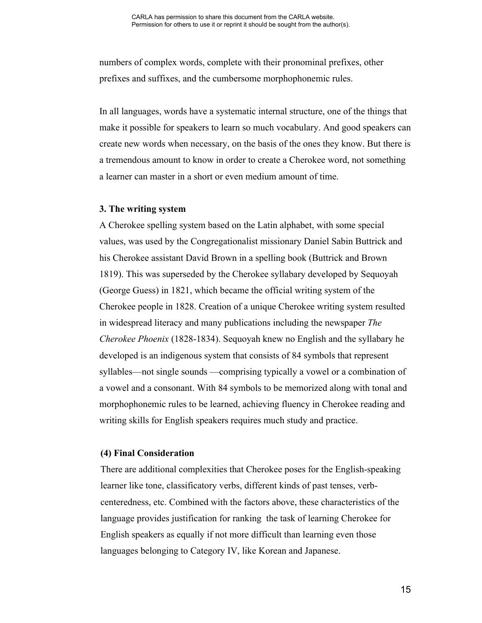numbers of complex words, complete with their pronominal prefixes, other prefixes and suffixes, and the cumbersome morphophonemic rules.

In all languages, words have a systematic internal structure, one of the things that make it possible for speakers to learn so much vocabulary. And good speakers can create new words when necessary, on the basis of the ones they know. But there is a tremendous amount to know in order to create a Cherokee word, not something a learner can master in a short or even medium amount of time.

### **3. The writing system**

A Cherokee spelling system based on the Latin alphabet, with some special values, was used by the Congregationalist missionary Daniel Sabin Buttrick and his Cherokee assistant David Brown in a spelling book (Buttrick and Brown 1819). This was superseded by the Cherokee syllabary developed by Sequoyah (George Guess) in 1821, which became the official writing system of the Cherokee people in 1828. Creation of a unique Cherokee writing system resulted in widespread literacy and many publications including the newspaper *The Cherokee Phoenix* (1828-1834). Sequoyah knew no English and the syllabary he developed is an indigenous system that consists of 84 symbols that represent syllables—not single sounds —comprising typically a vowel or a combination of a vowel and a consonant. With 84 symbols to be memorized along with tonal and morphophonemic rules to be learned, achieving fluency in Cherokee reading and writing skills for English speakers requires much study and practice.

# **(4) Final Consideration**

There are additional complexities that Cherokee poses for the English-speaking learner like tone, classificatory verbs, different kinds of past tenses, verbcenteredness, etc. Combined with the factors above, these characteristics of the language provides justification for ranking the task of learning Cherokee for English speakers as equally if not more difficult than learning even those languages belonging to Category IV, like Korean and Japanese.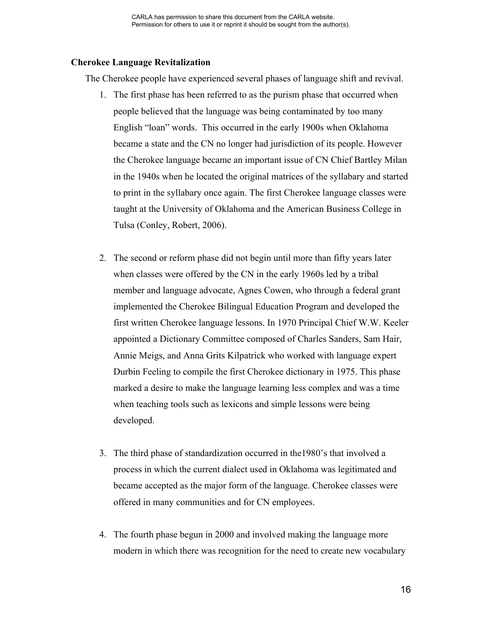## **Cherokee Language Revitalization**

The Cherokee people have experienced several phases of language shift and revival.

- 1. The first phase has been referred to as the purism phase that occurred when people believed that the language was being contaminated by too many English "loan" words. This occurred in the early 1900s when Oklahoma became a state and the CN no longer had jurisdiction of its people. However the Cherokee language became an important issue of CN Chief Bartley Milan in the 1940s when he located the original matrices of the syllabary and started to print in the syllabary once again. The first Cherokee language classes were taught at the University of Oklahoma and the American Business College in Tulsa (Conley, Robert, 2006).
- 2. The second or reform phase did not begin until more than fifty years later when classes were offered by the CN in the early 1960s led by a tribal member and language advocate, Agnes Cowen, who through a federal grant implemented the Cherokee Bilingual Education Program and developed the first written Cherokee language lessons. In 1970 Principal Chief W.W. Keeler appointed a Dictionary Committee composed of Charles Sanders, Sam Hair, Annie Meigs, and Anna Grits Kilpatrick who worked with language expert Durbin Feeling to compile the first Cherokee dictionary in 1975. This phase marked a desire to make the language learning less complex and was a time when teaching tools such as lexicons and simple lessons were being developed.
- 3. The third phase of standardization occurred in the1980's that involved a process in which the current dialect used in Oklahoma was legitimated and became accepted as the major form of the language. Cherokee classes were offered in many communities and for CN employees.
- 4. The fourth phase begun in 2000 and involved making the language more modern in which there was recognition for the need to create new vocabulary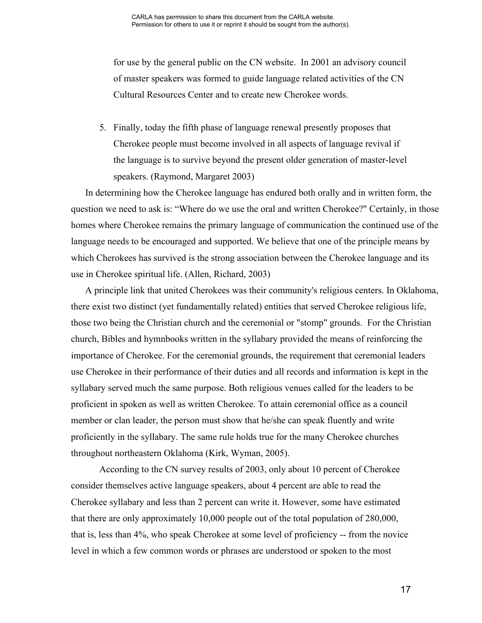for use by the general public on the CN website. In 2001 an advisory council of master speakers was formed to guide language related activities of the CN Cultural Resources Center and to create new Cherokee words.

5. Finally, today the fifth phase of language renewal presently proposes that Cherokee people must become involved in all aspects of language revival if the language is to survive beyond the present older generation of master-level speakers. (Raymond, Margaret 2003)

In determining how the Cherokee language has endured both orally and in written form, the question we need to ask is: "Where do we use the oral and written Cherokee?" Certainly, in those homes where Cherokee remains the primary language of communication the continued use of the language needs to be encouraged and supported. We believe that one of the principle means by which Cherokees has survived is the strong association between the Cherokee language and its use in Cherokee spiritual life. (Allen, Richard, 2003)

A principle link that united Cherokees was their community's religious centers. In Oklahoma, there exist two distinct (yet fundamentally related) entities that served Cherokee religious life, those two being the Christian church and the ceremonial or "stomp" grounds. For the Christian church, Bibles and hymnbooks written in the syllabary provided the means of reinforcing the importance of Cherokee. For the ceremonial grounds, the requirement that ceremonial leaders use Cherokee in their performance of their duties and all records and information is kept in the syllabary served much the same purpose. Both religious venues called for the leaders to be proficient in spoken as well as written Cherokee. To attain ceremonial office as a council member or clan leader, the person must show that he/she can speak fluently and write proficiently in the syllabary. The same rule holds true for the many Cherokee churches throughout northeastern Oklahoma (Kirk, Wyman, 2005).

According to the CN survey results of 2003, only about 10 percent of Cherokee consider themselves active language speakers, about 4 percent are able to read the Cherokee syllabary and less than 2 percent can write it. However, some have estimated that there are only approximately 10,000 people out of the total population of 280,000, that is, less than 4%, who speak Cherokee at some level of proficiency -- from the novice level in which a few common words or phrases are understood or spoken to the most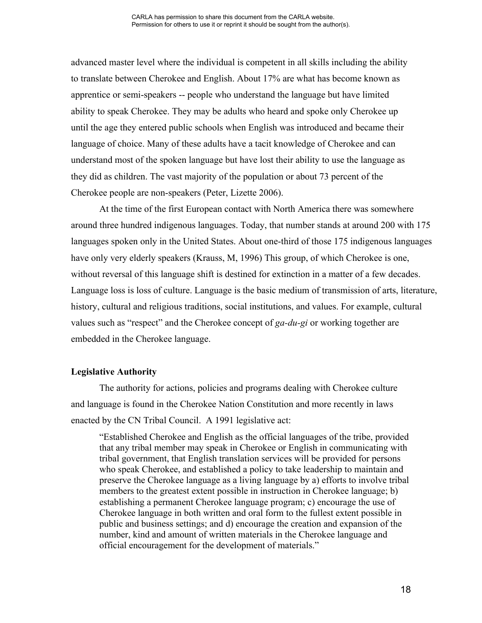advanced master level where the individual is competent in all skills including the ability to translate between Cherokee and English. About 17% are what has become known as apprentice or semi-speakers -- people who understand the language but have limited ability to speak Cherokee. They may be adults who heard and spoke only Cherokee up until the age they entered public schools when English was introduced and became their language of choice. Many of these adults have a tacit knowledge of Cherokee and can understand most of the spoken language but have lost their ability to use the language as they did as children. The vast majority of the population or about 73 percent of the Cherokee people are non-speakers (Peter, Lizette 2006).

At the time of the first European contact with North America there was somewhere around three hundred indigenous languages. Today, that number stands at around 200 with 175 languages spoken only in the United States. About one-third of those 175 indigenous languages have only very elderly speakers (Krauss, M, 1996) This group, of which Cherokee is one, without reversal of this language shift is destined for extinction in a matter of a few decades. Language loss is loss of culture. Language is the basic medium of transmission of arts, literature, history, cultural and religious traditions, social institutions, and values. For example, cultural values such as "respect" and the Cherokee concept of *ga-du-gi* or working together are embedded in the Cherokee language.

#### **Legislative Authority**

The authority for actions, policies and programs dealing with Cherokee culture and language is found in the Cherokee Nation Constitution and more recently in laws enacted by the CN Tribal Council. A 1991 legislative act:

"Established Cherokee and English as the official languages of the tribe, provided that any tribal member may speak in Cherokee or English in communicating with tribal government, that English translation services will be provided for persons who speak Cherokee, and established a policy to take leadership to maintain and preserve the Cherokee language as a living language by a) efforts to involve tribal members to the greatest extent possible in instruction in Cherokee language; b) establishing a permanent Cherokee language program; c) encourage the use of Cherokee language in both written and oral form to the fullest extent possible in public and business settings; and d) encourage the creation and expansion of the number, kind and amount of written materials in the Cherokee language and official encouragement for the development of materials."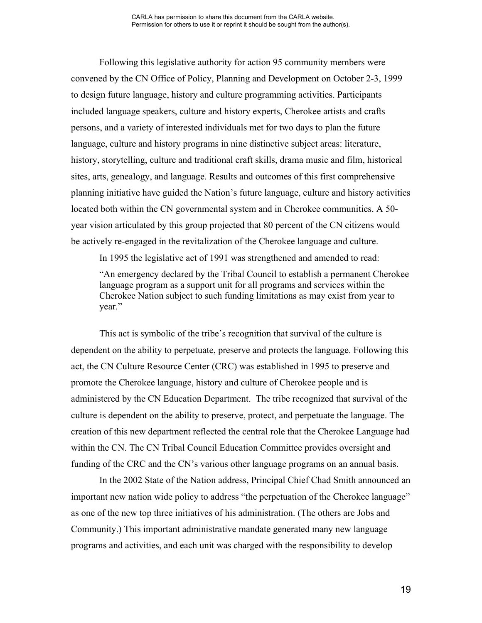Following this legislative authority for action 95 community members were convened by the CN Office of Policy, Planning and Development on October 2-3, 1999 to design future language, history and culture programming activities. Participants included language speakers, culture and history experts, Cherokee artists and crafts persons, and a variety of interested individuals met for two days to plan the future language, culture and history programs in nine distinctive subject areas: literature, history, storytelling, culture and traditional craft skills, drama music and film, historical sites, arts, genealogy, and language. Results and outcomes of this first comprehensive planning initiative have guided the Nation's future language, culture and history activities located both within the CN governmental system and in Cherokee communities. A 50 year vision articulated by this group projected that 80 percent of the CN citizens would be actively re-engaged in the revitalization of the Cherokee language and culture.

In 1995 the legislative act of 1991 was strengthened and amended to read:

"An emergency declared by the Tribal Council to establish a permanent Cherokee language program as a support unit for all programs and services within the Cherokee Nation subject to such funding limitations as may exist from year to year."

This act is symbolic of the tribe's recognition that survival of the culture is dependent on the ability to perpetuate, preserve and protects the language. Following this act, the CN Culture Resource Center (CRC) was established in 1995 to preserve and promote the Cherokee language, history and culture of Cherokee people and is administered by the CN Education Department. The tribe recognized that survival of the culture is dependent on the ability to preserve, protect, and perpetuate the language. The creation of this new department reflected the central role that the Cherokee Language had within the CN. The CN Tribal Council Education Committee provides oversight and funding of the CRC and the CN's various other language programs on an annual basis.

In the 2002 State of the Nation address, Principal Chief Chad Smith announced an important new nation wide policy to address "the perpetuation of the Cherokee language" as one of the new top three initiatives of his administration. (The others are Jobs and Community.) This important administrative mandate generated many new language programs and activities, and each unit was charged with the responsibility to develop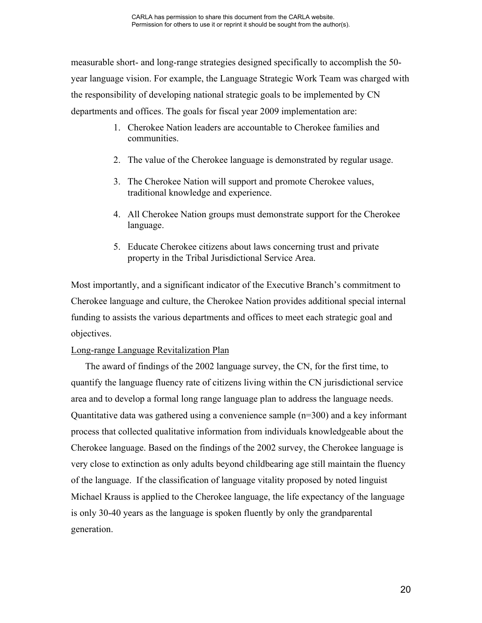measurable short- and long-range strategies designed specifically to accomplish the 50 year language vision. For example, the Language Strategic Work Team was charged with the responsibility of developing national strategic goals to be implemented by CN departments and offices. The goals for fiscal year 2009 implementation are:

- 1. Cherokee Nation leaders are accountable to Cherokee families and communities.
- 2. The value of the Cherokee language is demonstrated by regular usage.
- 3. The Cherokee Nation will support and promote Cherokee values, traditional knowledge and experience.
- 4. All Cherokee Nation groups must demonstrate support for the Cherokee language.
- 5. Educate Cherokee citizens about laws concerning trust and private property in the Tribal Jurisdictional Service Area.

Most importantly, and a significant indicator of the Executive Branch's commitment to Cherokee language and culture, the Cherokee Nation provides additional special internal funding to assists the various departments and offices to meet each strategic goal and objectives.

# Long-range Language Revitalization Plan

The award of findings of the 2002 language survey, the CN, for the first time, to quantify the language fluency rate of citizens living within the CN jurisdictional service area and to develop a formal long range language plan to address the language needs. Quantitative data was gathered using a convenience sample (n=300) and a key informant process that collected qualitative information from individuals knowledgeable about the Cherokee language. Based on the findings of the 2002 survey, the Cherokee language is very close to extinction as only adults beyond childbearing age still maintain the fluency of the language. If the classification of language vitality proposed by noted linguist Michael Krauss is applied to the Cherokee language, the life expectancy of the language is only 30-40 years as the language is spoken fluently by only the grandparental generation.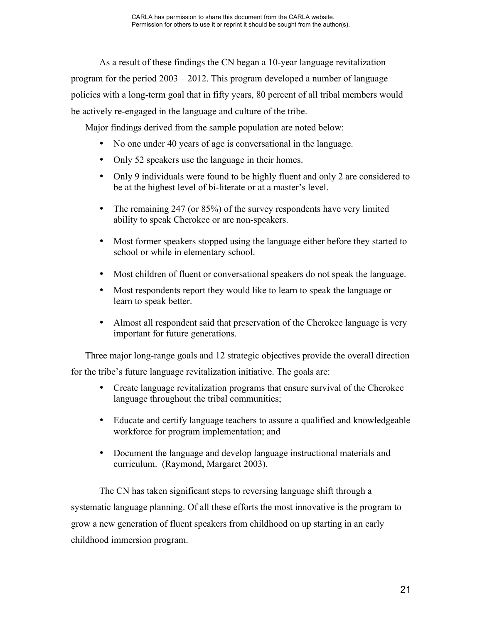As a result of these findings the CN began a 10-year language revitalization program for the period 2003 – 2012. This program developed a number of language policies with a long-term goal that in fifty years, 80 percent of all tribal members would be actively re-engaged in the language and culture of the tribe.

Major findings derived from the sample population are noted below:

- No one under 40 years of age is conversational in the language.
- Only 52 speakers use the language in their homes.
- Only 9 individuals were found to be highly fluent and only 2 are considered to be at the highest level of bi-literate or at a master's level.
- The remaining 247 (or 85%) of the survey respondents have very limited ability to speak Cherokee or are non-speakers.
- Most former speakers stopped using the language either before they started to school or while in elementary school.
- Most children of fluent or conversational speakers do not speak the language.
- Most respondents report they would like to learn to speak the language or learn to speak better.
- Almost all respondent said that preservation of the Cherokee language is very important for future generations.

Three major long-range goals and 12 strategic objectives provide the overall direction for the tribe's future language revitalization initiative. The goals are:

- Create language revitalization programs that ensure survival of the Cherokee language throughout the tribal communities;
- Educate and certify language teachers to assure a qualified and knowledgeable workforce for program implementation; and
- Document the language and develop language instructional materials and curriculum. (Raymond, Margaret 2003).

The CN has taken significant steps to reversing language shift through a systematic language planning. Of all these efforts the most innovative is the program to grow a new generation of fluent speakers from childhood on up starting in an early childhood immersion program.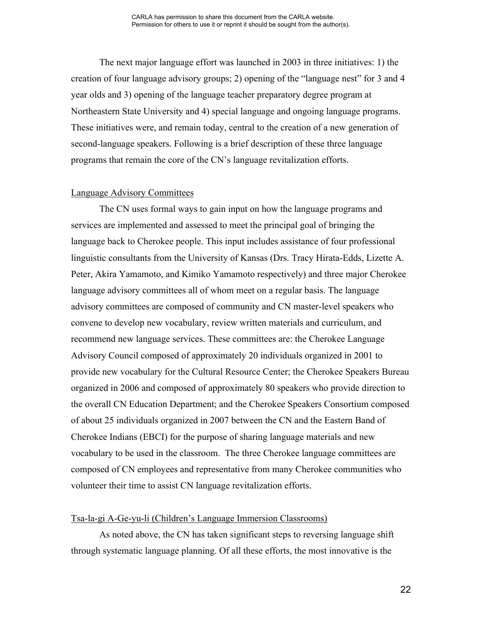The next major language effort was launched in 2003 in three initiatives: 1) the creation of four language advisory groups; 2) opening of the "language nest" for 3 and 4 year olds and 3) opening of the language teacher preparatory degree program at Northeastern State University and 4) special language and ongoing language programs. These initiatives were, and remain today, central to the creation of a new generation of second-language speakers. Following is a brief description of these three language programs that remain the core of the CN's language revitalization efforts.

#### Language Advisory Committees

The CN uses formal ways to gain input on how the language programs and services are implemented and assessed to meet the principal goal of bringing the language back to Cherokee people. This input includes assistance of four professional linguistic consultants from the University of Kansas (Drs. Tracy Hirata-Edds, Lizette A. Peter, Akira Yamamoto, and Kimiko Yamamoto respectively) and three major Cherokee language advisory committees all of whom meet on a regular basis. The language advisory committees are composed of community and CN master-level speakers who convene to develop new vocabulary, review written materials and curriculum, and recommend new language services. These committees are: the Cherokee Language Advisory Council composed of approximately 20 individuals organized in 2001 to provide new vocabulary for the Cultural Resource Center; the Cherokee Speakers Bureau organized in 2006 and composed of approximately 80 speakers who provide direction to the overall CN Education Department; and the Cherokee Speakers Consortium composed of about 25 individuals organized in 2007 between the CN and the Eastern Band of Cherokee Indians (EBCI) for the purpose of sharing language materials and new vocabulary to be used in the classroom. The three Cherokee language committees are composed of CN employees and representative from many Cherokee communities who volunteer their time to assist CN language revitalization efforts.

#### Tsa-la-gi A-Ge-yu-li (Children's Language Immersion Classrooms)

As noted above, the CN has taken significant steps to reversing language shift through systematic language planning. Of all these efforts, the most innovative is the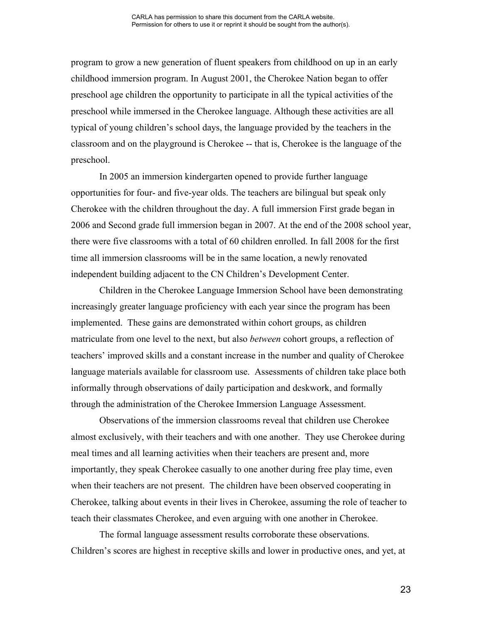program to grow a new generation of fluent speakers from childhood on up in an early childhood immersion program. In August 2001, the Cherokee Nation began to offer preschool age children the opportunity to participate in all the typical activities of the preschool while immersed in the Cherokee language. Although these activities are all typical of young children's school days, the language provided by the teachers in the classroom and on the playground is Cherokee -- that is, Cherokee is the language of the preschool.

In 2005 an immersion kindergarten opened to provide further language opportunities for four- and five-year olds. The teachers are bilingual but speak only Cherokee with the children throughout the day. A full immersion First grade began in 2006 and Second grade full immersion began in 2007. At the end of the 2008 school year, there were five classrooms with a total of 60 children enrolled. In fall 2008 for the first time all immersion classrooms will be in the same location, a newly renovated independent building adjacent to the CN Children's Development Center.

Children in the Cherokee Language Immersion School have been demonstrating increasingly greater language proficiency with each year since the program has been implemented. These gains are demonstrated within cohort groups, as children matriculate from one level to the next, but also *between* cohort groups, a reflection of teachers' improved skills and a constant increase in the number and quality of Cherokee language materials available for classroom use. Assessments of children take place both informally through observations of daily participation and deskwork, and formally through the administration of the Cherokee Immersion Language Assessment.

Observations of the immersion classrooms reveal that children use Cherokee almost exclusively, with their teachers and with one another. They use Cherokee during meal times and all learning activities when their teachers are present and, more importantly, they speak Cherokee casually to one another during free play time, even when their teachers are not present. The children have been observed cooperating in Cherokee, talking about events in their lives in Cherokee, assuming the role of teacher to teach their classmates Cherokee, and even arguing with one another in Cherokee.

The formal language assessment results corroborate these observations. Children's scores are highest in receptive skills and lower in productive ones, and yet, at

23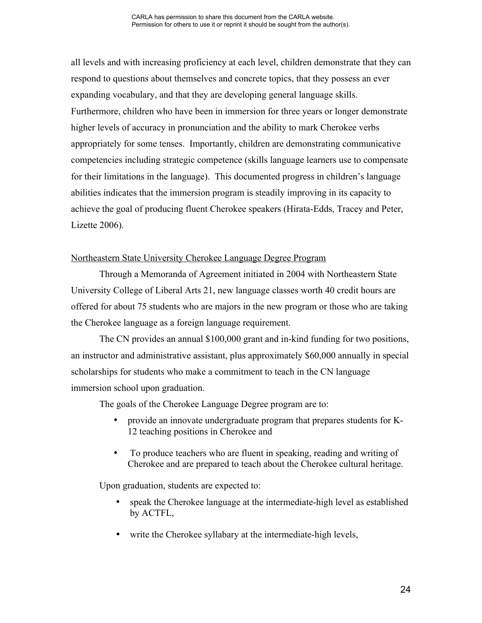all levels and with increasing proficiency at each level, children demonstrate that they can respond to questions about themselves and concrete topics, that they possess an ever expanding vocabulary, and that they are developing general language skills. Furthermore, children who have been in immersion for three years or longer demonstrate higher levels of accuracy in pronunciation and the ability to mark Cherokee verbs appropriately for some tenses. Importantly, children are demonstrating communicative competencies including strategic competence (skills language learners use to compensate for their limitations in the language). This documented progress in children's language abilities indicates that the immersion program is steadily improving in its capacity to achieve the goal of producing fluent Cherokee speakers (Hirata-Edds, Tracey and Peter, Lizette 2006).

### Northeastern State University Cherokee Language Degree Program

Through a Memoranda of Agreement initiated in 2004 with Northeastern State University College of Liberal Arts 21, new language classes worth 40 credit hours are offered for about 75 students who are majors in the new program or those who are taking the Cherokee language as a foreign language requirement.

The CN provides an annual \$100,000 grant and in-kind funding for two positions, an instructor and administrative assistant, plus approximately \$60,000 annually in special scholarships for students who make a commitment to teach in the CN language immersion school upon graduation.

The goals of the Cherokee Language Degree program are to:

- provide an innovate undergraduate program that prepares students for K-12 teaching positions in Cherokee and
- To produce teachers who are fluent in speaking, reading and writing of Cherokee and are prepared to teach about the Cherokee cultural heritage.

Upon graduation, students are expected to:

- speak the Cherokee language at the intermediate-high level as established by ACTFL,
- write the Cherokee syllabary at the intermediate-high levels,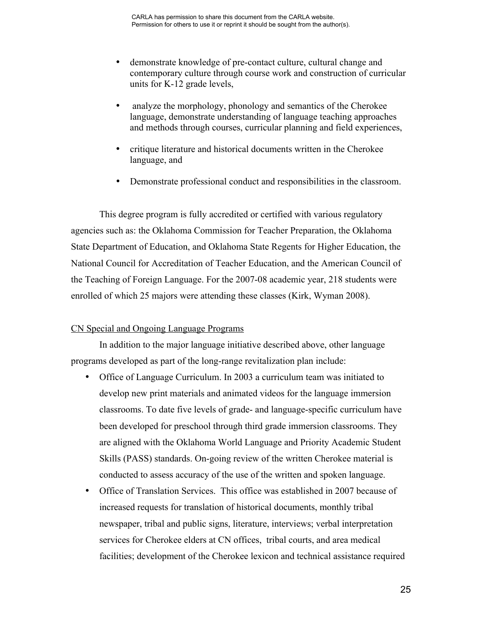- demonstrate knowledge of pre-contact culture, cultural change and contemporary culture through course work and construction of curricular units for K-12 grade levels,
- analyze the morphology, phonology and semantics of the Cherokee language, demonstrate understanding of language teaching approaches and methods through courses, curricular planning and field experiences,
- critique literature and historical documents written in the Cherokee language, and
- Demonstrate professional conduct and responsibilities in the classroom.

This degree program is fully accredited or certified with various regulatory agencies such as: the Oklahoma Commission for Teacher Preparation, the Oklahoma State Department of Education, and Oklahoma State Regents for Higher Education, the National Council for Accreditation of Teacher Education, and the American Council of the Teaching of Foreign Language. For the 2007-08 academic year, 218 students were enrolled of which 25 majors were attending these classes (Kirk, Wyman 2008).

# CN Special and Ongoing Language Programs

In addition to the major language initiative described above, other language programs developed as part of the long-range revitalization plan include:

- Office of Language Curriculum. In 2003 a curriculum team was initiated to develop new print materials and animated videos for the language immersion classrooms. To date five levels of grade- and language-specific curriculum have been developed for preschool through third grade immersion classrooms. They are aligned with the Oklahoma World Language and Priority Academic Student Skills (PASS) standards. On-going review of the written Cherokee material is conducted to assess accuracy of the use of the written and spoken language.
- Office of Translation Services. This office was established in 2007 because of increased requests for translation of historical documents, monthly tribal newspaper, tribal and public signs, literature, interviews; verbal interpretation services for Cherokee elders at CN offices, tribal courts, and area medical facilities; development of the Cherokee lexicon and technical assistance required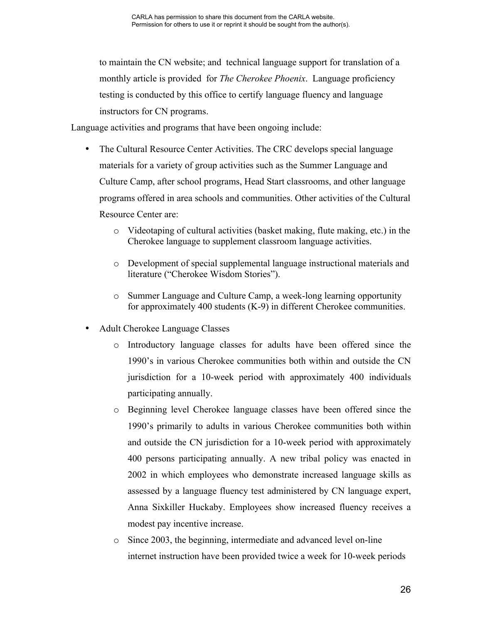to maintain the CN website; and technical language support for translation of a monthly article is provided for *The Cherokee Phoenix*. Language proficiency testing is conducted by this office to certify language fluency and language instructors for CN programs.

Language activities and programs that have been ongoing include:

- The Cultural Resource Center Activities. The CRC develops special language materials for a variety of group activities such as the Summer Language and Culture Camp, after school programs, Head Start classrooms, and other language programs offered in area schools and communities. Other activities of the Cultural Resource Center are:
	- o Videotaping of cultural activities (basket making, flute making, etc.) in the Cherokee language to supplement classroom language activities.
	- o Development of special supplemental language instructional materials and literature ("Cherokee Wisdom Stories").
	- o Summer Language and Culture Camp, a week-long learning opportunity for approximately 400 students (K-9) in different Cherokee communities.
- Adult Cherokee Language Classes
	- o Introductory language classes for adults have been offered since the 1990's in various Cherokee communities both within and outside the CN jurisdiction for a 10-week period with approximately 400 individuals participating annually.
	- o Beginning level Cherokee language classes have been offered since the 1990's primarily to adults in various Cherokee communities both within and outside the CN jurisdiction for a 10-week period with approximately 400 persons participating annually. A new tribal policy was enacted in 2002 in which employees who demonstrate increased language skills as assessed by a language fluency test administered by CN language expert, Anna Sixkiller Huckaby. Employees show increased fluency receives a modest pay incentive increase.
	- o Since 2003, the beginning, intermediate and advanced level on-line internet instruction have been provided twice a week for 10-week periods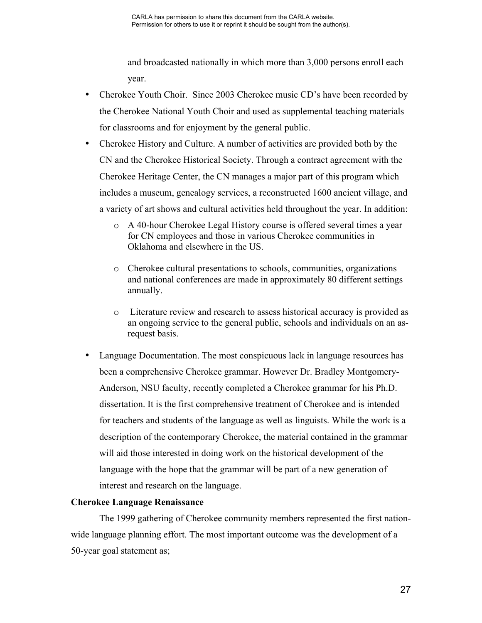and broadcasted nationally in which more than 3,000 persons enroll each year.

- Cherokee Youth Choir. Since 2003 Cherokee music CD's have been recorded by the Cherokee National Youth Choir and used as supplemental teaching materials for classrooms and for enjoyment by the general public.
- Cherokee History and Culture. A number of activities are provided both by the CN and the Cherokee Historical Society. Through a contract agreement with the Cherokee Heritage Center, the CN manages a major part of this program which includes a museum, genealogy services, a reconstructed 1600 ancient village, and a variety of art shows and cultural activities held throughout the year. In addition:
	- o A 40-hour Cherokee Legal History course is offered several times a year for CN employees and those in various Cherokee communities in Oklahoma and elsewhere in the US.
	- o Cherokee cultural presentations to schools, communities, organizations and national conferences are made in approximately 80 different settings annually.
	- o Literature review and research to assess historical accuracy is provided as an ongoing service to the general public, schools and individuals on an asrequest basis.
- Language Documentation. The most conspicuous lack in language resources has been a comprehensive Cherokee grammar. However Dr. Bradley Montgomery-Anderson, NSU faculty, recently completed a Cherokee grammar for his Ph.D. dissertation. It is the first comprehensive treatment of Cherokee and is intended for teachers and students of the language as well as linguists. While the work is a description of the contemporary Cherokee, the material contained in the grammar will aid those interested in doing work on the historical development of the language with the hope that the grammar will be part of a new generation of interest and research on the language.

# **Cherokee Language Renaissance**

The 1999 gathering of Cherokee community members represented the first nationwide language planning effort. The most important outcome was the development of a 50-year goal statement as;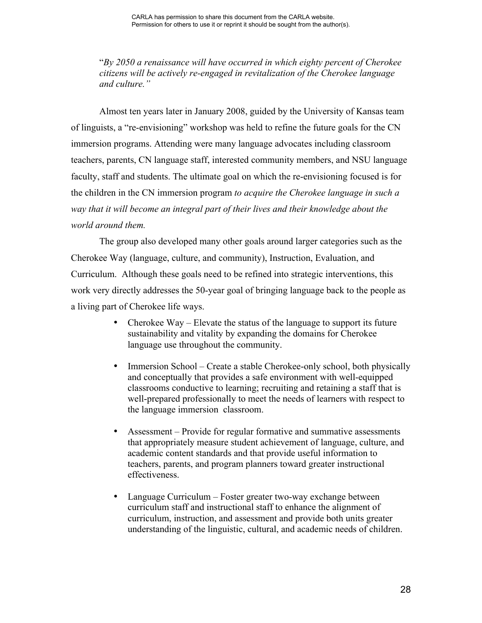"*By 2050 a renaissance will have occurred in which eighty percent of Cherokee citizens will be actively re-engaged in revitalization of the Cherokee language and culture."*

Almost ten years later in January 2008, guided by the University of Kansas team of linguists, a "re-envisioning" workshop was held to refine the future goals for the CN immersion programs. Attending were many language advocates including classroom teachers, parents, CN language staff, interested community members, and NSU language faculty, staff and students. The ultimate goal on which the re-envisioning focused is for the children in the CN immersion program *to acquire the Cherokee language in such a way that it will become an integral part of their lives and their knowledge about the world around them.*

The group also developed many other goals around larger categories such as the Cherokee Way (language, culture, and community), Instruction, Evaluation, and Curriculum. Although these goals need to be refined into strategic interventions, this work very directly addresses the 50-year goal of bringing language back to the people as a living part of Cherokee life ways.

- Cherokee Way Elevate the status of the language to support its future sustainability and vitality by expanding the domains for Cherokee language use throughout the community.
- Immersion School Create a stable Cherokee-only school, both physically and conceptually that provides a safe environment with well-equipped classrooms conductive to learning; recruiting and retaining a staff that is well-prepared professionally to meet the needs of learners with respect to the language immersion classroom.
- Assessment Provide for regular formative and summative assessments that appropriately measure student achievement of language, culture, and academic content standards and that provide useful information to teachers, parents, and program planners toward greater instructional effectiveness.
- Language Curriculum Foster greater two-way exchange between curriculum staff and instructional staff to enhance the alignment of curriculum, instruction, and assessment and provide both units greater understanding of the linguistic, cultural, and academic needs of children.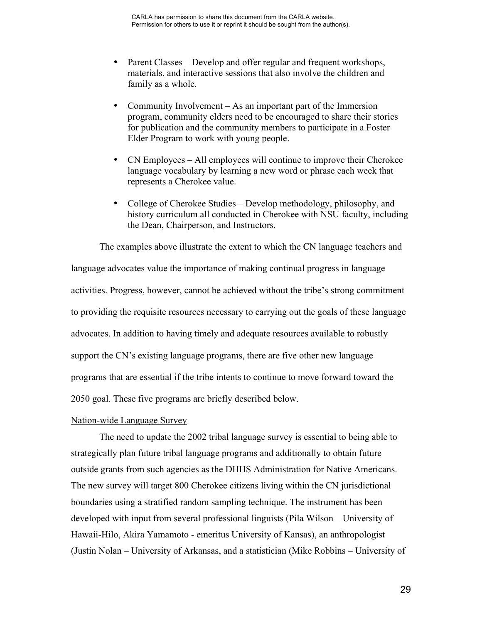- Parent Classes Develop and offer regular and frequent workshops, materials, and interactive sessions that also involve the children and family as a whole.
- Community Involvement As an important part of the Immersion program, community elders need to be encouraged to share their stories for publication and the community members to participate in a Foster Elder Program to work with young people.
- CN Employees All employees will continue to improve their Cherokee language vocabulary by learning a new word or phrase each week that represents a Cherokee value.
- College of Cherokee Studies Develop methodology, philosophy, and history curriculum all conducted in Cherokee with NSU faculty, including the Dean, Chairperson, and Instructors.

The examples above illustrate the extent to which the CN language teachers and language advocates value the importance of making continual progress in language activities. Progress, however, cannot be achieved without the tribe's strong commitment to providing the requisite resources necessary to carrying out the goals of these language advocates. In addition to having timely and adequate resources available to robustly support the CN's existing language programs, there are five other new language programs that are essential if the tribe intents to continue to move forward toward the 2050 goal. These five programs are briefly described below.

#### Nation-wide Language Survey

The need to update the 2002 tribal language survey is essential to being able to strategically plan future tribal language programs and additionally to obtain future outside grants from such agencies as the DHHS Administration for Native Americans. The new survey will target 800 Cherokee citizens living within the CN jurisdictional boundaries using a stratified random sampling technique. The instrument has been developed with input from several professional linguists (Pila Wilson – University of Hawaii-Hilo, Akira Yamamoto - emeritus University of Kansas), an anthropologist (Justin Nolan – University of Arkansas, and a statistician (Mike Robbins – University of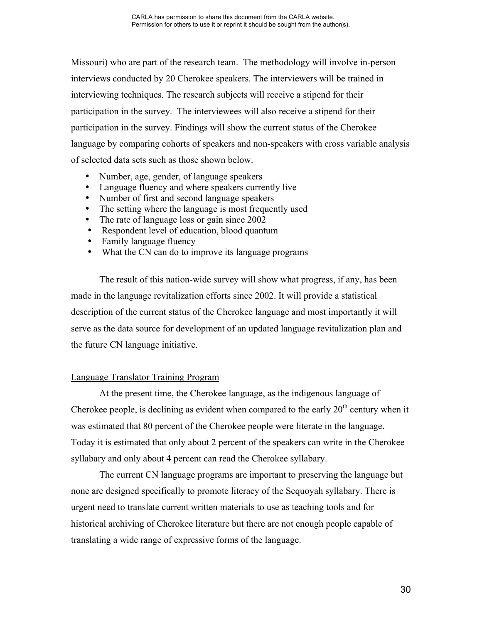Missouri) who are part of the research team. The methodology will involve in-person interviews conducted by 20 Cherokee speakers. The interviewers will be trained in interviewing techniques. The research subjects will receive a stipend for their participation in the survey. The interviewees will also receive a stipend for their participation in the survey. Findings will show the current status of the Cherokee language by comparing cohorts of speakers and non-speakers with cross variable analysis of selected data sets such as those shown below.

- Number, age, gender, of language speakers
- Language fluency and where speakers currently live
- Number of first and second language speakers
- The setting where the language is most frequently used
- The rate of language loss or gain since 2002
- Respondent level of education, blood quantum
- Family language fluency
- What the CN can do to improve its language programs

The result of this nation-wide survey will show what progress, if any, has been made in the language revitalization efforts since 2002. It will provide a statistical description of the current status of the Cherokee language and most importantly it will serve as the data source for development of an updated language revitalization plan and the future CN language initiative.

# Language Translator Training Program

At the present time, the Cherokee language, as the indigenous language of Cherokee people, is declining as evident when compared to the early  $20<sup>th</sup>$  century when it was estimated that 80 percent of the Cherokee people were literate in the language. Today it is estimated that only about 2 percent of the speakers can write in the Cherokee syllabary and only about 4 percent can read the Cherokee syllabary.

The current CN language programs are important to preserving the language but none are designed specifically to promote literacy of the Sequoyah syllabary. There is urgent need to translate current written materials to use as teaching tools and for historical archiving of Cherokee literature but there are not enough people capable of translating a wide range of expressive forms of the language.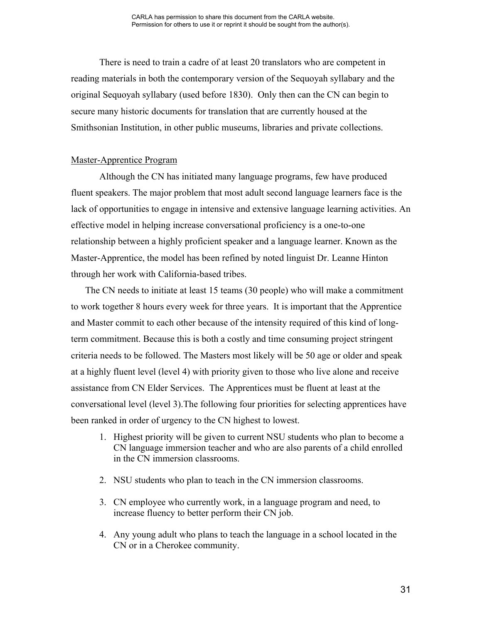There is need to train a cadre of at least 20 translators who are competent in reading materials in both the contemporary version of the Sequoyah syllabary and the original Sequoyah syllabary (used before 1830). Only then can the CN can begin to secure many historic documents for translation that are currently housed at the Smithsonian Institution, in other public museums, libraries and private collections.

### Master-Apprentice Program

Although the CN has initiated many language programs, few have produced fluent speakers. The major problem that most adult second language learners face is the lack of opportunities to engage in intensive and extensive language learning activities. An effective model in helping increase conversational proficiency is a one-to-one relationship between a highly proficient speaker and a language learner. Known as the Master-Apprentice, the model has been refined by noted linguist Dr. Leanne Hinton through her work with California-based tribes.

The CN needs to initiate at least 15 teams (30 people) who will make a commitment to work together 8 hours every week for three years. It is important that the Apprentice and Master commit to each other because of the intensity required of this kind of longterm commitment. Because this is both a costly and time consuming project stringent criteria needs to be followed. The Masters most likely will be 50 age or older and speak at a highly fluent level (level 4) with priority given to those who live alone and receive assistance from CN Elder Services. The Apprentices must be fluent at least at the conversational level (level 3).The following four priorities for selecting apprentices have been ranked in order of urgency to the CN highest to lowest.

- 1. Highest priority will be given to current NSU students who plan to become a CN language immersion teacher and who are also parents of a child enrolled in the CN immersion classrooms.
- 2. NSU students who plan to teach in the CN immersion classrooms.
- 3. CN employee who currently work, in a language program and need, to increase fluency to better perform their CN job.
- 4. Any young adult who plans to teach the language in a school located in the CN or in a Cherokee community.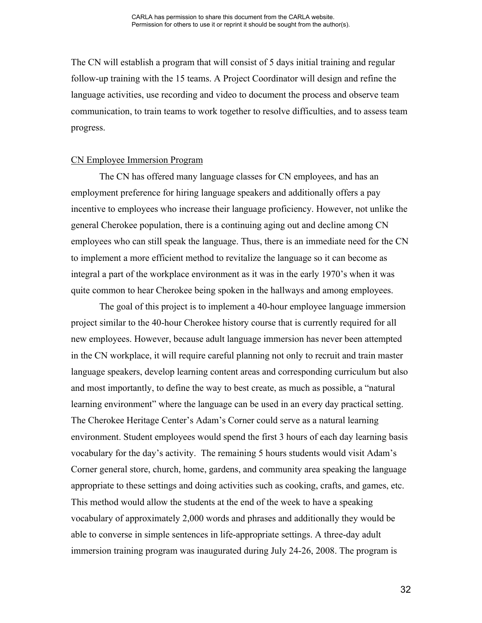The CN will establish a program that will consist of 5 days initial training and regular follow-up training with the 15 teams. A Project Coordinator will design and refine the language activities, use recording and video to document the process and observe team communication, to train teams to work together to resolve difficulties, and to assess team progress.

#### CN Employee Immersion Program

The CN has offered many language classes for CN employees, and has an employment preference for hiring language speakers and additionally offers a pay incentive to employees who increase their language proficiency. However, not unlike the general Cherokee population, there is a continuing aging out and decline among CN employees who can still speak the language. Thus, there is an immediate need for the CN to implement a more efficient method to revitalize the language so it can become as integral a part of the workplace environment as it was in the early 1970's when it was quite common to hear Cherokee being spoken in the hallways and among employees.

The goal of this project is to implement a 40-hour employee language immersion project similar to the 40-hour Cherokee history course that is currently required for all new employees. However, because adult language immersion has never been attempted in the CN workplace, it will require careful planning not only to recruit and train master language speakers, develop learning content areas and corresponding curriculum but also and most importantly, to define the way to best create, as much as possible, a "natural learning environment" where the language can be used in an every day practical setting. The Cherokee Heritage Center's Adam's Corner could serve as a natural learning environment. Student employees would spend the first 3 hours of each day learning basis vocabulary for the day's activity. The remaining 5 hours students would visit Adam's Corner general store, church, home, gardens, and community area speaking the language appropriate to these settings and doing activities such as cooking, crafts, and games, etc. This method would allow the students at the end of the week to have a speaking vocabulary of approximately 2,000 words and phrases and additionally they would be able to converse in simple sentences in life-appropriate settings. A three-day adult immersion training program was inaugurated during July 24-26, 2008. The program is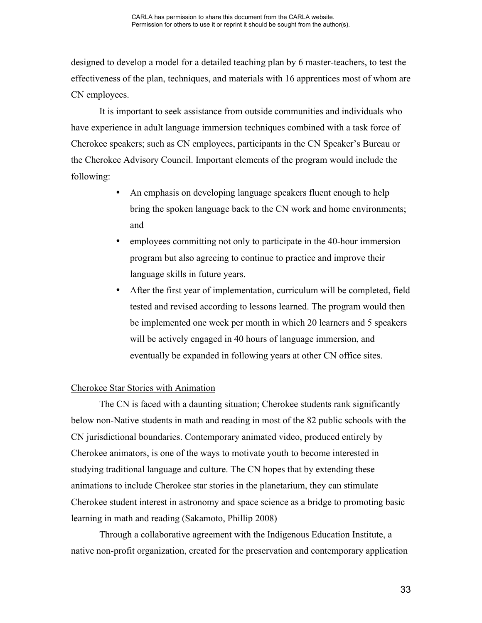designed to develop a model for a detailed teaching plan by 6 master-teachers, to test the effectiveness of the plan, techniques, and materials with 16 apprentices most of whom are CN employees.

It is important to seek assistance from outside communities and individuals who have experience in adult language immersion techniques combined with a task force of Cherokee speakers; such as CN employees, participants in the CN Speaker's Bureau or the Cherokee Advisory Council. Important elements of the program would include the following:

- An emphasis on developing language speakers fluent enough to help bring the spoken language back to the CN work and home environments; and
- employees committing not only to participate in the 40-hour immersion program but also agreeing to continue to practice and improve their language skills in future years.
- After the first year of implementation, curriculum will be completed, field tested and revised according to lessons learned. The program would then be implemented one week per month in which 20 learners and 5 speakers will be actively engaged in 40 hours of language immersion, and eventually be expanded in following years at other CN office sites.

#### Cherokee Star Stories with Animation

The CN is faced with a daunting situation; Cherokee students rank significantly below non-Native students in math and reading in most of the 82 public schools with the CN jurisdictional boundaries. Contemporary animated video, produced entirely by Cherokee animators, is one of the ways to motivate youth to become interested in studying traditional language and culture. The CN hopes that by extending these animations to include Cherokee star stories in the planetarium, they can stimulate Cherokee student interest in astronomy and space science as a bridge to promoting basic learning in math and reading (Sakamoto, Phillip 2008)

Through a collaborative agreement with the Indigenous Education Institute, a native non-profit organization, created for the preservation and contemporary application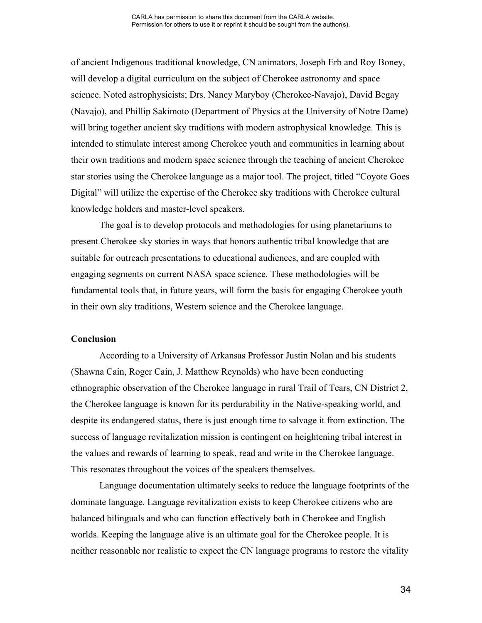of ancient Indigenous traditional knowledge, CN animators, Joseph Erb and Roy Boney, will develop a digital curriculum on the subject of Cherokee astronomy and space science. Noted astrophysicists; Drs. Nancy Maryboy (Cherokee-Navajo), David Begay (Navajo), and Phillip Sakimoto (Department of Physics at the University of Notre Dame) will bring together ancient sky traditions with modern astrophysical knowledge. This is intended to stimulate interest among Cherokee youth and communities in learning about their own traditions and modern space science through the teaching of ancient Cherokee star stories using the Cherokee language as a major tool. The project, titled "Coyote Goes Digital" will utilize the expertise of the Cherokee sky traditions with Cherokee cultural knowledge holders and master-level speakers.

The goal is to develop protocols and methodologies for using planetariums to present Cherokee sky stories in ways that honors authentic tribal knowledge that are suitable for outreach presentations to educational audiences, and are coupled with engaging segments on current NASA space science. These methodologies will be fundamental tools that, in future years, will form the basis for engaging Cherokee youth in their own sky traditions, Western science and the Cherokee language.

#### **Conclusion**

According to a University of Arkansas Professor Justin Nolan and his students (Shawna Cain, Roger Cain, J. Matthew Reynolds) who have been conducting ethnographic observation of the Cherokee language in rural Trail of Tears, CN District 2, the Cherokee language is known for its perdurability in the Native-speaking world, and despite its endangered status, there is just enough time to salvage it from extinction. The success of language revitalization mission is contingent on heightening tribal interest in the values and rewards of learning to speak, read and write in the Cherokee language. This resonates throughout the voices of the speakers themselves.

Language documentation ultimately seeks to reduce the language footprints of the dominate language. Language revitalization exists to keep Cherokee citizens who are balanced bilinguals and who can function effectively both in Cherokee and English worlds. Keeping the language alive is an ultimate goal for the Cherokee people. It is neither reasonable nor realistic to expect the CN language programs to restore the vitality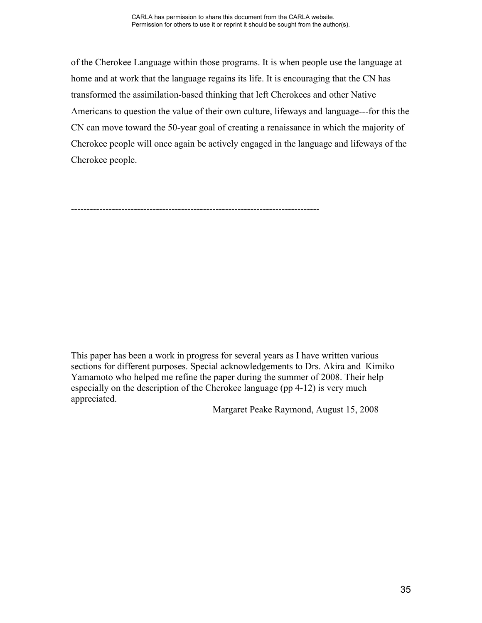of the Cherokee Language within those programs. It is when people use the language at home and at work that the language regains its life. It is encouraging that the CN has transformed the assimilation-based thinking that left Cherokees and other Native Americans to question the value of their own culture, lifeways and language---for this the CN can move toward the 50-year goal of creating a renaissance in which the majority of Cherokee people will once again be actively engaged in the language and lifeways of the Cherokee people.

-------------------------------------------------------------------------------

This paper has been a work in progress for several years as I have written various sections for different purposes. Special acknowledgements to Drs. Akira and Kimiko Yamamoto who helped me refine the paper during the summer of 2008. Their help especially on the description of the Cherokee language (pp 4-12) is very much appreciated.

Margaret Peake Raymond, August 15, 2008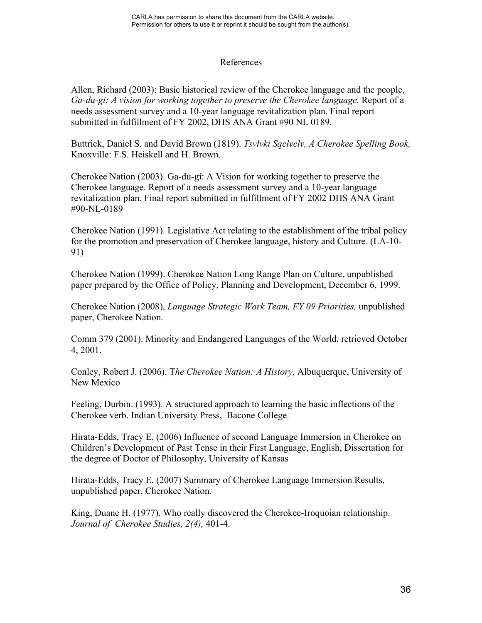## References

Allen, Richard (2003): Basic historical review of the Cherokee language and the people, *Ga-du-gi: A vision for working together to preserve the Cherokee language.* Report of a needs assessment survey and a 10-year language revitalization plan. Final report submitted in fulfillment of FY 2002, DHS ANA Grant #90 NL 0189.

Buttrick, Daniel S. and David Brown (1819). *Tsvlvki Sqclvclv, A Cherokee Spelling Book,* Knoxville: F.S. Heiskell and H. Brown.

Cherokee Nation (2003). Ga-du-gi: A Vision for working together to preserve the Cherokee language. Report of a needs assessment survey and a 10-year language revitalization plan. Final report submitted in fulfillment of FY 2002 DHS ANA Grant #90-NL-0189

Cherokee Nation (1991). Legislative Act relating to the establishment of the tribal policy for the promotion and preservation of Cherokee language, history and Culture. (LA-10- 91)

Cherokee Nation (1999). Cherokee Nation Long Range Plan on Culture, unpublished paper prepared by the Office of Policy, Planning and Development, December 6, 1999.

Cherokee Nation (2008), *Language Strategic Work Team, FY 09 Priorities,* unpublished paper, Cherokee Nation.

Comm 379 (2001). Minority and Endangered Languages of the World, retrieved October 4, 2001.

Conley, Robert J. (2006). T*he Cherokee Nation: A History,* Albuquerque, University of New Mexico

Feeling, Durbin. (1993). A structured approach to learning the basic inflections of the Cherokee verb. Indian University Press, Bacone College.

Hirata-Edds, Tracy E. (2006) Influence of second Language Immersion in Cherokee on Children's Development of Past Tense in their First Language, English, Dissertation for the degree of Doctor of Philosophy, University of Kansas

Hirata-Edds, Tracy E. (2007) Summary of Cherokee Language Immersion Results, unpublished paper, Cherokee Nation.

King, Duane H. (1977). Who really discovered the Cherokee-Iroquoian relationship. *Journal of Cherokee Studies, 2(4),* 401-4.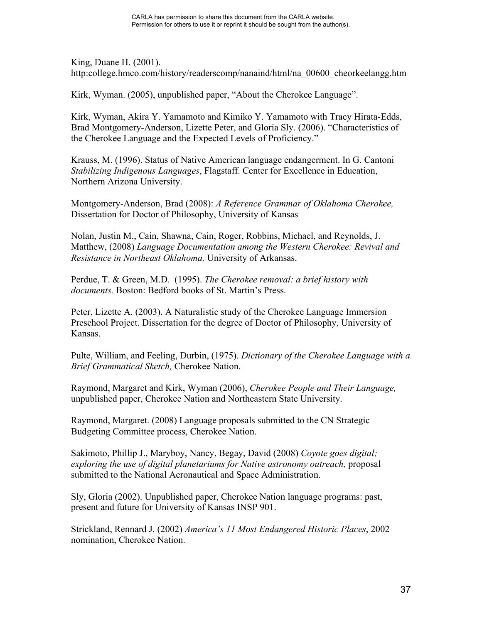King, Duane H. (2001). http:college.hmco.com/history/readerscomp/nanaind/html/na\_00600\_cheorkeelangg.htm

Kirk, Wyman. (2005), unpublished paper, "About the Cherokee Language".

Kirk, Wyman, Akira Y. Yamamoto and Kimiko Y. Yamamoto with Tracy Hirata-Edds, Brad Montgomery-Anderson, Lizette Peter, and Gloria Sly. (2006). "Characteristics of the Cherokee Language and the Expected Levels of Proficiency."

Krauss, M. (1996). Status of Native American language endangerment. In G. Cantoni *Stabilizing Indigenous Languages*, Flagstaff. Center for Excellence in Education, Northern Arizona University.

Montgomery-Anderson, Brad (2008): *A Reference Grammar of Oklahoma Cherokee,*  Dissertation for Doctor of Philosophy, University of Kansas

Nolan, Justin M., Cain, Shawna, Cain, Roger, Robbins, Michael, and Reynolds, J. Matthew, (2008) *Language Documentation among the Western Cherokee: Revival and Resistance in Northeast Oklahoma,* University of Arkansas.

Perdue, T. & Green, M.D. (1995). *The Cherokee removal: a brief history with documents.* Boston: Bedford books of St. Martin's Press.

Peter, Lizette A. (2003). A Naturalistic study of the Cherokee Language Immersion Preschool Project. Dissertation for the degree of Doctor of Philosophy, University of Kansas.

Pulte, William, and Feeling, Durbin, (1975). *Dictionary of the Cherokee Language with a Brief Grammatical Sketch,* Cherokee Nation.

Raymond, Margaret and Kirk, Wyman (2006), *Cherokee People and Their Language,*  unpublished paper, Cherokee Nation and Northeastern State University.

Raymond, Margaret. (2008) Language proposals submitted to the CN Strategic Budgeting Committee process, Cherokee Nation.

Sakimoto, Phillip J., Maryboy, Nancy, Begay, David (2008) *Coyote goes digital; exploring the use of digital planetariums for Native astronomy outreach,* proposal submitted to the National Aeronautical and Space Administration.

Sly, Gloria (2002). Unpublished paper, Cherokee Nation language programs: past, present and future for University of Kansas INSP 901.

Strickland, Rennard J. (2002) *America's 11 Most Endangered Historic Places*, 2002 nomination, Cherokee Nation.